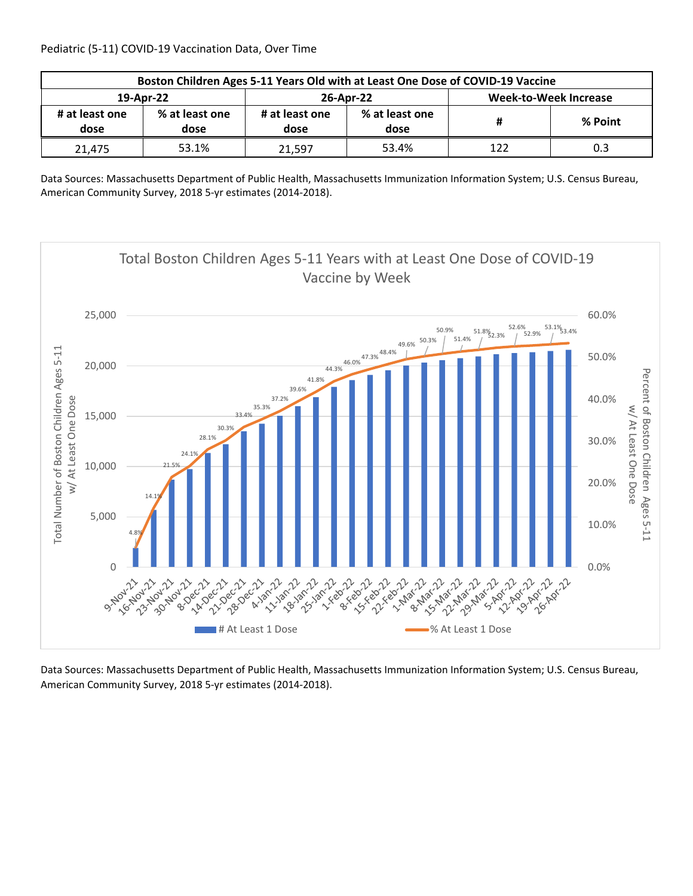| Boston Children Ages 5-11 Years Old with at Least One Dose of COVID-19 Vaccine |                        |                        |                        |                              |         |  |  |
|--------------------------------------------------------------------------------|------------------------|------------------------|------------------------|------------------------------|---------|--|--|
| 19-Apr-22                                                                      |                        |                        | 26-Apr-22              | <b>Week-to-Week Increase</b> |         |  |  |
| # at least one<br>dose                                                         | % at least one<br>dose | # at least one<br>dose | % at least one<br>dose |                              | % Point |  |  |
| 21.475                                                                         | 53.1%                  | 21.597                 | 53.4%                  | 122                          | 0.3     |  |  |

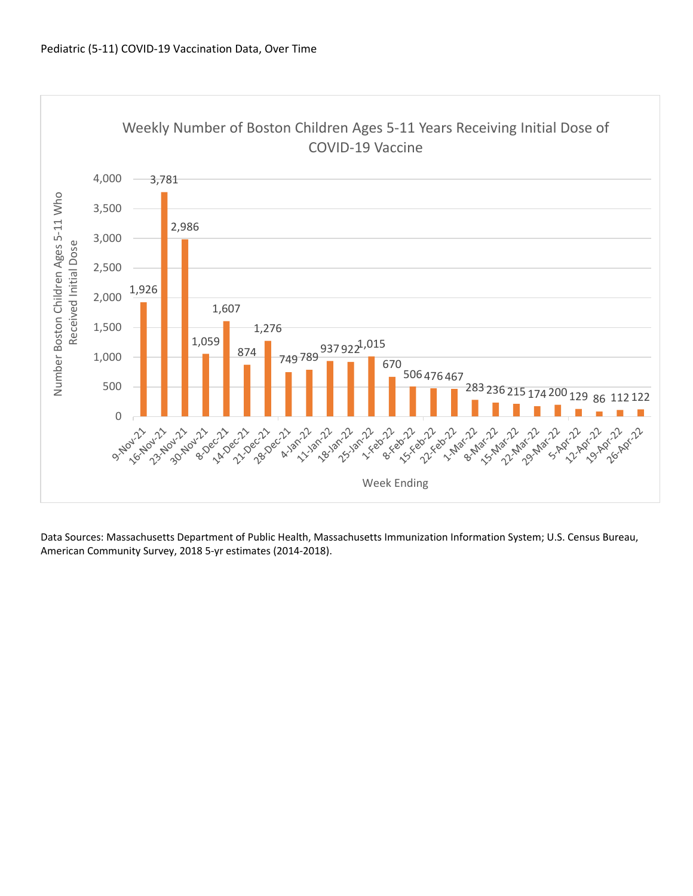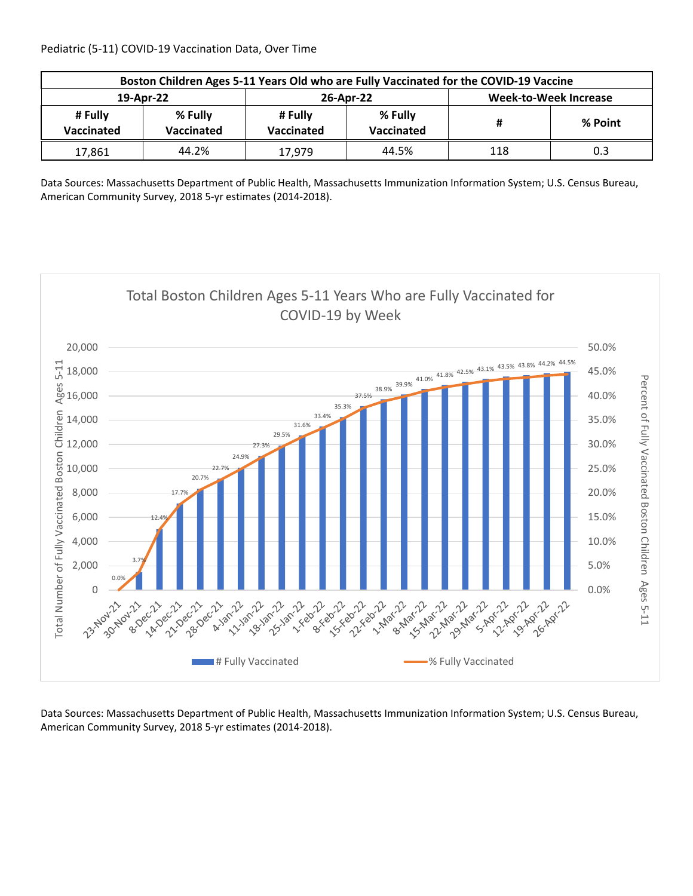| Boston Children Ages 5-11 Years Old who are Fully Vaccinated for the COVID-19 Vaccine |                                                       |        |                       |                              |         |  |  |
|---------------------------------------------------------------------------------------|-------------------------------------------------------|--------|-----------------------|------------------------------|---------|--|--|
| 19-Apr-22                                                                             |                                                       |        | 26-Apr-22             | <b>Week-to-Week Increase</b> |         |  |  |
| # Fully<br>Vaccinated                                                                 | % Fully<br># Fully<br>Vaccinated<br><b>Vaccinated</b> |        | % Fully<br>Vaccinated | Ħ                            | % Point |  |  |
| 17,861                                                                                | 44.2%                                                 | 17.979 | 44.5%                 | 118                          | 0.3     |  |  |

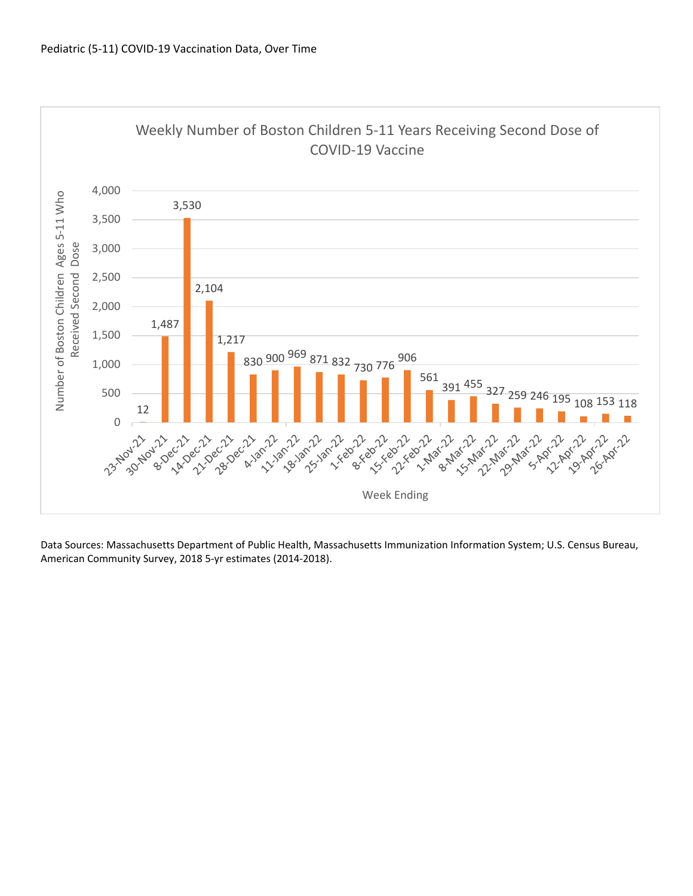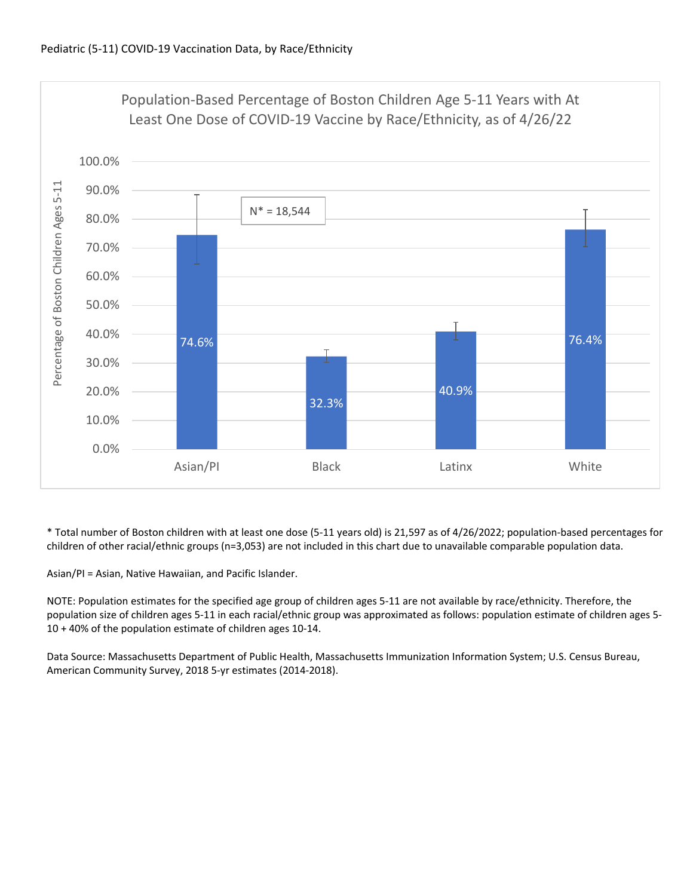

\* Total number of Boston children with at least one dose (5‐11 years old) is 21,597 as of 4/26/2022; population‐based percentages for children of other racial/ethnic groups (n=3,053) are not included in this chart due to unavailable comparable population data.

Asian/PI = Asian, Native Hawaiian, and Pacific Islander.

NOTE: Population estimates for the specified age group of children ages 5‐11 are not available by race/ethnicity. Therefore, the population size of children ages 5‐11 in each racial/ethnic group was approximated as follows: population estimate of children ages 5‐ 10 + 40% of the population estimate of children ages 10‐14.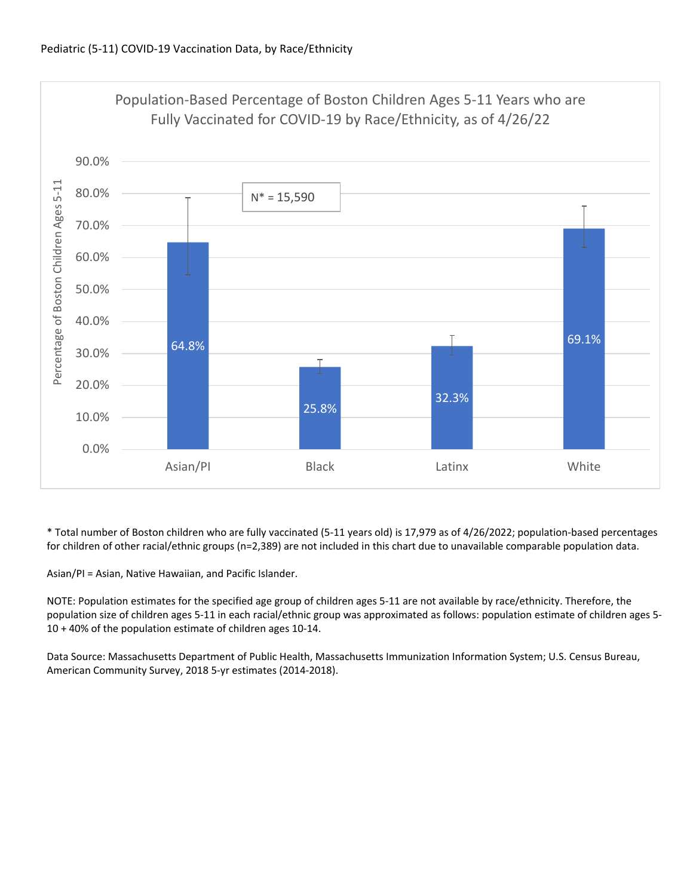

\* Total number of Boston children who are fully vaccinated (5‐11 years old) is 17,979 as of 4/26/2022; population‐based percentages for children of other racial/ethnic groups (n=2,389) are not included in this chart due to unavailable comparable population data.

Asian/PI = Asian, Native Hawaiian, and Pacific Islander.

NOTE: Population estimates for the specified age group of children ages 5‐11 are not available by race/ethnicity. Therefore, the population size of children ages 5‐11 in each racial/ethnic group was approximated as follows: population estimate of children ages 5‐ 10 + 40% of the population estimate of children ages 10‐14.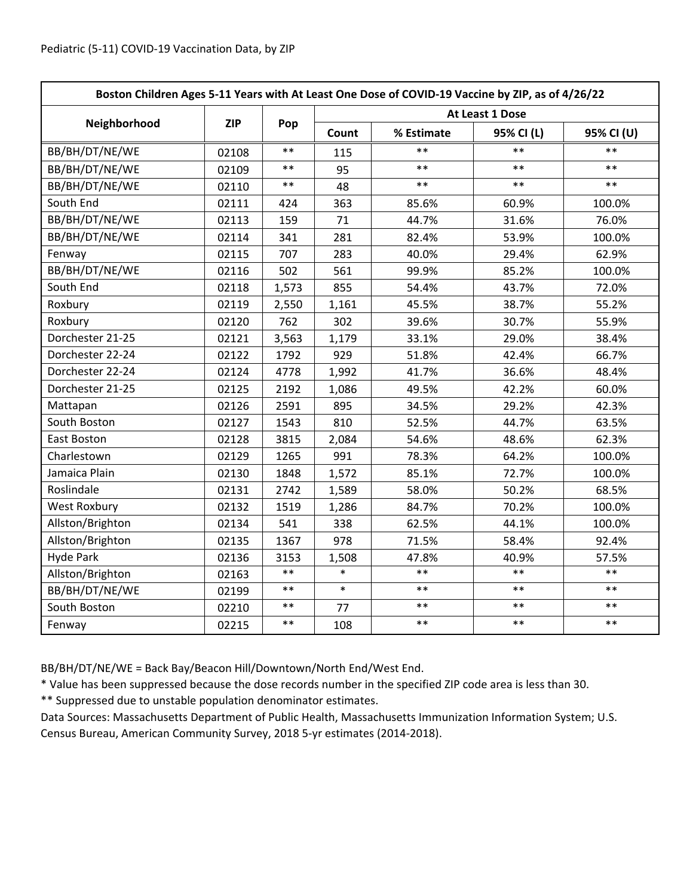| Boston Children Ages 5-11 Years with At Least One Dose of COVID-19 Vaccine by ZIP, as of 4/26/22 |            |            |                 |            |            |            |  |
|--------------------------------------------------------------------------------------------------|------------|------------|-----------------|------------|------------|------------|--|
|                                                                                                  | <b>ZIP</b> | Pop        | At Least 1 Dose |            |            |            |  |
| Neighborhood                                                                                     |            |            | Count           | % Estimate | 95% CI (L) | 95% CI (U) |  |
| BB/BH/DT/NE/WE                                                                                   | 02108      | $**$       | 115             | **         | $**$       | $**$       |  |
| BB/BH/DT/NE/WE                                                                                   | 02109      | $\ast\ast$ | 95              | $***$      | $***$      | $***$      |  |
| BB/BH/DT/NE/WE                                                                                   | 02110      | $***$      | 48              | $***$      | $***$      | $***$      |  |
| South End                                                                                        | 02111      | 424        | 363             | 85.6%      | 60.9%      | 100.0%     |  |
| BB/BH/DT/NE/WE                                                                                   | 02113      | 159        | 71              | 44.7%      | 31.6%      | 76.0%      |  |
| BB/BH/DT/NE/WE                                                                                   | 02114      | 341        | 281             | 82.4%      | 53.9%      | 100.0%     |  |
| Fenway                                                                                           | 02115      | 707        | 283             | 40.0%      | 29.4%      | 62.9%      |  |
| BB/BH/DT/NE/WE                                                                                   | 02116      | 502        | 561             | 99.9%      | 85.2%      | 100.0%     |  |
| South End                                                                                        | 02118      | 1,573      | 855             | 54.4%      | 43.7%      | 72.0%      |  |
| Roxbury                                                                                          | 02119      | 2,550      | 1,161           | 45.5%      | 38.7%      | 55.2%      |  |
| Roxbury                                                                                          | 02120      | 762        | 302             | 39.6%      | 30.7%      | 55.9%      |  |
| Dorchester 21-25                                                                                 | 02121      | 3,563      | 1,179           | 33.1%      | 29.0%      | 38.4%      |  |
| Dorchester 22-24                                                                                 | 02122      | 1792       | 929             | 51.8%      | 42.4%      | 66.7%      |  |
| Dorchester 22-24                                                                                 | 02124      | 4778       | 1,992           | 41.7%      | 36.6%      | 48.4%      |  |
| Dorchester 21-25                                                                                 | 02125      | 2192       | 1,086           | 49.5%      | 42.2%      | 60.0%      |  |
| Mattapan                                                                                         | 02126      | 2591       | 895             | 34.5%      | 29.2%      | 42.3%      |  |
| South Boston                                                                                     | 02127      | 1543       | 810             | 52.5%      | 44.7%      | 63.5%      |  |
| East Boston                                                                                      | 02128      | 3815       | 2,084           | 54.6%      | 48.6%      | 62.3%      |  |
| Charlestown                                                                                      | 02129      | 1265       | 991             | 78.3%      | 64.2%      | 100.0%     |  |
| Jamaica Plain                                                                                    | 02130      | 1848       | 1,572           | 85.1%      | 72.7%      | 100.0%     |  |
| Roslindale                                                                                       | 02131      | 2742       | 1,589           | 58.0%      | 50.2%      | 68.5%      |  |
| <b>West Roxbury</b>                                                                              | 02132      | 1519       | 1,286           | 84.7%      | 70.2%      | 100.0%     |  |
| Allston/Brighton                                                                                 | 02134      | 541        | 338             | 62.5%      | 44.1%      | 100.0%     |  |
| Allston/Brighton                                                                                 | 02135      | 1367       | 978             | 71.5%      | 58.4%      | 92.4%      |  |
| <b>Hyde Park</b>                                                                                 | 02136      | 3153       | 1,508           | 47.8%      | 40.9%      | 57.5%      |  |
| Allston/Brighton                                                                                 | 02163      | $***$      | $\ast$          | $**$       | $* *$      | $**$       |  |
| BB/BH/DT/NE/WE                                                                                   | 02199      | $***$      | $\ast$          | $**$       | $***$      | $**$       |  |
| South Boston                                                                                     | 02210      | $\ast\ast$ | 77              | $***$      | $***$      | $***$      |  |
| Fenway                                                                                           | 02215      | $\ast\ast$ | 108             | $***$      | $***$      | $***$      |  |

BB/BH/DT/NE/WE = Back Bay/Beacon Hill/Downtown/North End/West End.

\* Value has been suppressed because the dose records number in the specified ZIP code area is less than 30.

\*\* Suppressed due to unstable population denominator estimates.